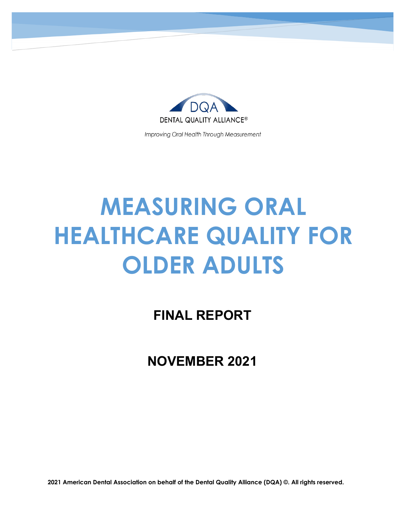

Improving Oral Health Through Measurement

# **MEASURING ORAL HEALTHCARE QUALITY FOR OLDER ADULTS**

**FINAL REPORT**

**NOVEMBER 2021**

**2021 American Dental Association on behalf of the Dental Quality Alliance (DQA) ©. All rights reserved.**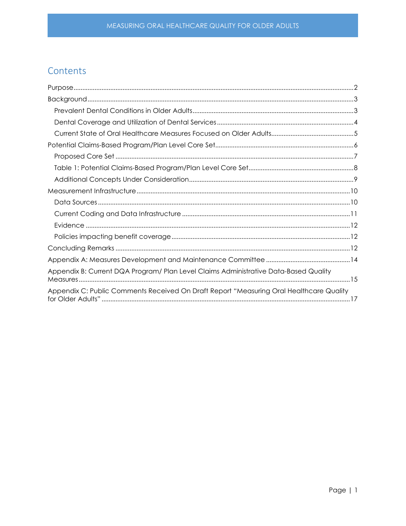# Contents

| Appendix B: Current DQA Program/ Plan Level Claims Administrative Data-Based Quality    |
|-----------------------------------------------------------------------------------------|
| Appendix C: Public Comments Received On Draft Report "Measuring Oral Healthcare Quality |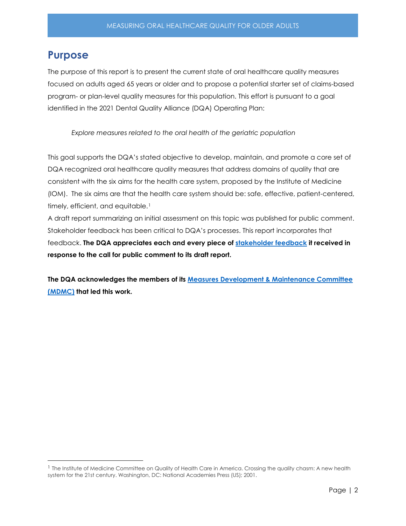# <span id="page-2-0"></span>**Purpose**

The purpose of this report is to present the current state of oral healthcare quality measures focused on adults aged 65 years or older and to propose a potential starter set of claims-based program- or plan-level quality measures for this population. This effort is pursuant to a goal identified in the 2021 Dental Quality Alliance (DQA) Operating Plan:

*Explore measures related to the oral health of the geriatric population*

This goal supports the DQA's stated objective to develop, maintain, and promote a core set of DQA recognized oral healthcare quality measures that address domains of quality that are consistent with the six aims for the health care system, proposed by the Institute of Medicine (IOM). The six aims are that the health care system should be: safe, effective, patient-centered, timely, efficient, and equitable.<sup>[1](#page-2-1)</sup>

A draft report summarizing an initial assessment on this topic was published for public comment. Stakeholder feedback has been critical to DQA's processes. This report incorporates that feedback. **The DQA appreciates each and every piece of [stakeholder feedback](#page-17-0) it received in response to the call for public comment to its draft report.** 

**The DQA acknowledges the members of its [Measures Development & Maintenance Committee](#page-13-0)  [\(MDMC\)](#page-13-0) that led this work.** 

<span id="page-2-1"></span><sup>&</sup>lt;sup>1</sup> The Institute of Medicine Committee on Quality of Health Care in America. Crossing the quality chasm: A new health system for the 21st century. Washington, DC: National Academies Press (US); 2001.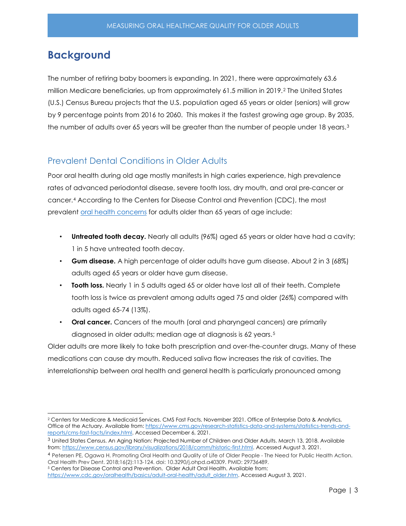# <span id="page-3-0"></span>**Background**

The number of retiring baby boomers is expanding. In 2021, there were approximately 63.6 million Medicare beneficiaries, up from approximately 61.5 million in 2019.[2](#page-3-2) The United States (U.S.) Census Bureau projects that the U.S. population aged 65 years or older (seniors) will grow by 9 percentage points from 2016 to 2060. This makes it the fastest growing age group. By 2035, the number of adults over 65 years will be greater than the number of people under 18 years.<sup>[3](#page-3-3)</sup>

#### <span id="page-3-1"></span>Prevalent Dental Conditions in Older Adults

Poor oral health during old age mostly manifests in high caries experience, high prevalence rates of advanced periodontal disease, severe tooth loss, dry mouth, and oral pre-cancer or cancer.[4](#page-3-4) According to the Centers for Disease Control and Prevention (CDC), the most prevalent [oral health concerns](https://www.cdc.gov/oralhealth/basics/adult-oral-health/adult_older.htm) for adults older than 65 years of age include:

- **Untreated tooth decay.** Nearly all adults (96%) aged 65 years or older have had a cavity; 1 in 5 have untreated tooth decay.
- **Gum disease.** A high percentage of older adults have gum disease. About 2 in 3 (68%) adults aged 65 years or older have gum disease.
- **Tooth loss.** Nearly 1 in 5 adults aged 65 or older have lost all of their teeth. Complete tooth loss is twice as prevalent among adults aged 75 and older (26%) compared with adults aged 65-74 (13%).
- **Oral cancer.** Cancers of the mouth (oral and pharyngeal cancers) are primarily diagnosed in older adults; median age at diagnosis is 62 years.[5](#page-3-5)

Older adults are more likely to take both prescription and over-the-counter drugs. Many of these medications can cause dry mouth. Reduced saliva flow increases the risk of cavities. The interrelationship between oral health and general health is particularly pronounced among

<span id="page-3-2"></span> <sup>2</sup> Centers for Medicare & Medicaid Services. CMS Fast Facts. November 2021. Office of Enterprise Data & Analytics, Office of the Actuary. Available from[: https://www.cms.gov/research-statistics-data-and-systems/statistics-trends-and](https://www.cms.gov/research-statistics-data-and-systems/statistics-trends-and-reports/cms-fast-facts/index.html)[reports/cms-fast-facts/index.html.](https://www.cms.gov/research-statistics-data-and-systems/statistics-trends-and-reports/cms-fast-facts/index.html) Accessed December 6, 2021.

<span id="page-3-3"></span><sup>3</sup> United States Census. An Aging Nation: Projected Number of Children and Older Adults. March 13, 2018. Available from: [https://www.census.gov/library/visualizations/2018/comm/historic-first.html.](https://www.census.gov/library/visualizations/2018/comm/historic-first.html) Accessed August 3, 2021.

<span id="page-3-4"></span><sup>4</sup> Petersen PE, Ogawa H. Promoting Oral Health and Quality of Life of Older People - The Need for Public Health Action. Oral Health Prev Dent. 2018;16(2):113-124. doi: 10.3290/j.ohpd.a40309. PMID: 29736489.

<span id="page-3-5"></span><sup>5</sup> Centers for Disease Control and Prevention. Older Adult Oral Health. Available from:

[https://www.cdc.gov/oralhealth/basics/adult-oral-health/adult\\_older.htm.](https://www.cdc.gov/oralhealth/basics/adult-oral-health/adult_older.htm) Accessed August 3, 2021.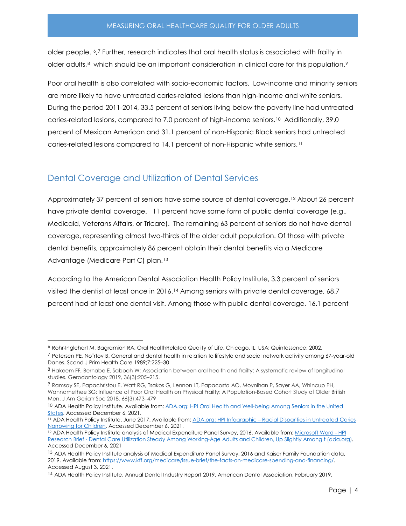older people. [6](#page-4-1),[7](#page-4-2) Further, research indicates that oral health status is associated with frailty in older adults, $8$  which should be an important consideration in clinical care for this population. $9$ 

Poor oral health is also correlated with socio-economic factors. Low-income and minority seniors are more likely to have untreated caries-related lesions than high-income and white seniors. During the period 2011-2014, 33.5 percent of seniors living below the poverty line had untreated caries-related lesions, compared to 7.0 percent of high-income seniors.[10](#page-4-5) Additionally, 39.0 percent of Mexican American and 31.1 percent of non-Hispanic Black seniors had untreated caries-related lesions compared to 14.1 percent of non-Hispanic white seniors.[11](#page-4-6)

# <span id="page-4-0"></span>Dental Coverage and Utilization of Dental Services

Approximately 37 percent of seniors have some source of dental coverage[.12](#page-4-7) About 26 percent have private dental coverage. 11 percent have some form of public dental coverage (e.g., Medicaid, Veterans Affairs, or Tricare). The remaining 63 percent of seniors do not have dental coverage, representing almost two-thirds of the older adult population. Of those with private dental benefits, approximately 86 percent obtain their dental benefits via a Medicare Advantage (Medicare Part C) plan.[13](#page-4-8)

According to the American Dental Association Health Policy Institute, 3.3 percent of seniors visited the dentist at least once in 2016.[14](#page-4-9) Among seniors with private dental coverage, 68.7 percent had at least one dental visit. Among those with public dental coverage, 16.1 percent

<span id="page-4-1"></span> <sup>6</sup> Rohr-Inglehart M, Bagramian RA. Oral HealthRelated Quality of Life. Chicago, IL, USA: Quintessence; 2002.

<span id="page-4-2"></span><sup>7</sup> Petersen PE, No¨rtov B. General and dental health in relation to lifestyle and social network activity among 67-year-old Danes. Scand J Prim Health Care 1989;7:225–30

<span id="page-4-3"></span><sup>8</sup> Hakeem FF, Bernabe E, Sabbah W: Association between oral health and frailty: A systematic review of longitudinal studies. Gerodontology 2019, 36(3):205–215.

<span id="page-4-4"></span><sup>9</sup> Ramsay SE, Papachristou E, Watt RG, Tsakos G, Lennon LT, Papacosta AO, Moynihan P, Sayer AA, Whincup PH, Wannamethee SG: Influence of Poor Oral Health on Physical Frailty: A Population-Based Cohort Study of Older British Men. J Am Geriatr Soc 2018, 66(3):473–479

<span id="page-4-5"></span><sup>&</sup>lt;sup>10</sup> ADA Health Policy Institute. Available from: ADA.org: HPI Oral Health and Well-being Among Seniors in the United [States.](https://www.ada.org/-/media/project/ada-organization/ada/ada-org/ada/ada/science-and-research/hpi/files/hpigraphic_0916_2.pdf?rev=46ea31a04f2f43f9ade8b183853f9ce3&hash=F766874B055B4857DDADAD98DCC17369) Accessed December 6, 2021.

<span id="page-4-6"></span><sup>11</sup> ADA Health Policy Institute. June 2017. Available from: ADA.org: HPI Infographic – [Racial Disparities in Untreated Caries](https://www.ada.org/-/media/project/ada-organization/ada/ada-org/ada/ada/science-and-research/hpi/files/hpigraphic_0617_1.pdf)  [Narrowing for Children.](https://www.ada.org/-/media/project/ada-organization/ada/ada-org/ada/ada/science-and-research/hpi/files/hpigraphic_0617_1.pdf) Accessed December 6, 2021.

<span id="page-4-7"></span><sup>&</sup>lt;sup>12</sup> ADA Health Policy Institute analysis of Medical Expenditure Panel Survey, 2016. Available from: [Microsoft Word -](https://www.ada.org/-/media/project/ada-organization/ada/ada-org/ada/ada/science-and-research/hpi/files/hpibrief_1016_1.pdf) HPI Research Brief - [Dental Care Utilization Steady Among Working-Age Adults and Children, Up Slightly Among t \(ada.org\).](https://www.ada.org/-/media/project/ada-organization/ada/ada-org/ada/ada/science-and-research/hpi/files/hpibrief_1016_1.pdf)  Accessed December 6, 2021

<span id="page-4-8"></span><sup>13</sup> ADA Health Policy Institute analysis of Medical Expenditure Panel Survey, 2016 and Kaiser Family Foundation data, 2019. Available from[: https://www.kff.org/medicare/issue-brief/the-facts-on-medicare-spending-and-financing/.](https://www.kff.org/medicare/issue-brief/the-facts-on-medicare-spending-and-financing/)  Accessed August 3, 2021.

<span id="page-4-9"></span><sup>&</sup>lt;sup>14</sup> ADA Health Policy Institute. Annual Dental Industry Report 2019. American Dental Association. February 2019.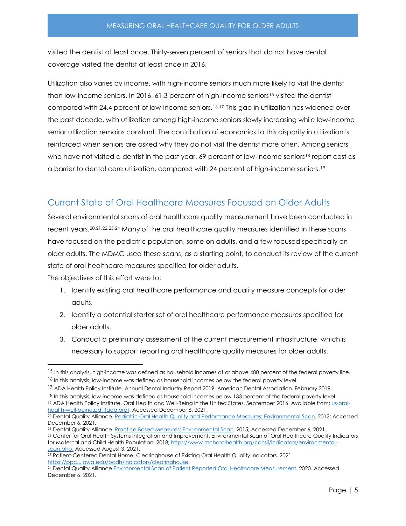visited the dentist at least once. Thirty-seven percent of seniors that do not have dental coverage visited the dentist at least once in 2016.

Utilization also varies by income, with high-income seniors much more likely to visit the dentist than low-income seniors. In 2016, 61.3 percent of high-income seniors<sup>[15](#page-5-1)</sup> visited the dentist compared with 24.4 percent of low-income seniors.[16](#page-5-2),[17](#page-5-3) This gap in utilization has widened over the past decade, with utilization among high-income seniors slowly increasing while low-income senior utilization remains constant. The contribution of economics to this disparity in utilization is reinforced when seniors are asked why they do not visit the dentist more often. Among seniors who have not visited a dentist in the past year, 69 percent of low-income seniors<sup>[18](#page-5-4)</sup> report cost as a barrier to dental care utilization, compared with 24 percent of high-income seniors.[19](#page-5-5)

### <span id="page-5-0"></span>Current State of Oral Healthcare Measures Focused on Older Adults

Several environmental scans of oral healthcare quality measurement have been conducted in recent years.[20,](#page-5-6)[21](#page-5-7),[22,](#page-5-8)[23](#page-5-9),[24](#page-5-10) Many of the oral healthcare quality measures identified in these scans have focused on the pediatric population, some on adults, and a few focused specifically on older adults. The MDMC used these scans, as a starting point, to conduct its review of the current state of oral healthcare measures specified for older adults.

The objectives of this effort were to:

- 1. Identify existing oral healthcare performance and quality measure concepts for older adults.
- 2. Identify a potential starter set of oral healthcare performance measures specified for older adults.
- 3. Conduct a preliminary assessment of the current measurement infrastructure, which is necessary to support reporting oral healthcare quality measures for older adults.

<span id="page-5-8"></span><sup>22</sup> Center for Oral Health Systems Integration and Improvement. Environmental Scan of Oral Healthcare Quality Indicators for Maternal and Child Health Population. 2018; [https://www.mchoralhealth.org/cohsii/indicators/environmental](https://www.mchoralhealth.org/cohsii/indicators/environmental-scan.php)[scan.php.](https://www.mchoralhealth.org/cohsii/indicators/environmental-scan.php) Accessed August 3, 2021.

<span id="page-5-2"></span><span id="page-5-1"></span><sup>&</sup>lt;sup>15</sup> In this analysis, high-income was defined as household incomes at or above 400 percent of the federal poverty line. <sup>16</sup> In this analysis, low-income was defined as household incomes below the federal poverty level.

<span id="page-5-3"></span><sup>&</sup>lt;sup>17</sup> ADA Health Policy Institute. Annual Dental Industry Report 2019. American Dental Association. February 2019.

<span id="page-5-5"></span><span id="page-5-4"></span><sup>&</sup>lt;sup>18</sup> In this analysis, low-income was defined as household incomes below 133 percent of the federal poverty level. <sup>19</sup> ADA Health Policy Institute. Oral Health and Well-Being in the United States. September 2016. Available from: <u>us-oral-</u><br>health-well-being.pdf (ada.org). Accessed December 6, 2021.

<span id="page-5-6"></span><sup>20</sup> Dental Quality Alliance[. Pediatric Oral Health Quality and Performance Measures: Environmental Scan.](https://www.ada.org/-/media/project/ada-organization/ada/ada-org/files/resources/research/dqa/dental-quality-measures/measure-development/dqa_2012_environmental_scan_pediatric_measures.pdf?rev=1dc76d60a11b450d8e64bb82f9e3ffe0&hash=5563A000C0210111171D951761AAEAD3) 2012; Accessed December 6, 2021.

<span id="page-5-7"></span><sup>21</sup> Dental Quality Alliance[. Practice Based Measures: Environmental Scan.](https://www.ada.org/-/media/project/ada-organization/ada/ada-org/files/resources/research/dqa/dental-quality-measures/measure-development/dqa_2015_environmental_scan_practice-based_measures.pdf?rev=aa8e2ac43c604bd9b7ad5b9f614e2069&hash=D1E8CE53F596E755FED269561C215275) 2015; Accessed December 6, 2021.

<span id="page-5-9"></span><sup>&</sup>lt;sup>23</sup> Patient-Centered Dental Home: Clearinghouse of Existing Oral Health Quality Indicators. 2021. <https://ppc.uiowa.edu/pcdh/indicators/clearinghouse>

<span id="page-5-10"></span><sup>24</sup> Dental Quality Allianc[e Environmental Scan of Patient Reported Oral Healthcare Measurement.](https://www.ada.org/-/media/project/ada-organization/ada/ada-org/files/resources/research/dqa/dental-quality-measures/measure-development/2020_prm_environmentalscan.pdf?rev=9f453e4737764c158bc60b5c8a4365b6&hash=BAA87A03F2F56FA7AFDF25CC8A78D326) 2020. Accessed December 6, 2021.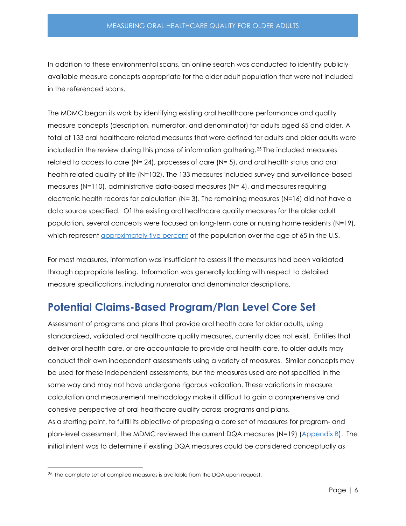In addition to these environmental scans, an online search was conducted to identify publicly available measure concepts appropriate for the older adult population that were not included in the referenced scans.

The MDMC began its work by identifying existing oral healthcare performance and quality measure concepts (description, numerator, and denominator) for adults aged 65 and older. A total of 133 oral healthcare related measures that were defined for adults and older adults were included in the review during this phase of information gathering.[25](#page-6-1) The included measures related to access to care  $(N= 24)$ , processes of care  $(N= 5)$ , and oral health status and oral health related quality of life (N=102). The 133 measures included survey and surveillance-based measures (N=110), administrative data-based measures (N= 4), and measures requiring electronic health records for calculation (N= 3). The remaining measures (N=16) did not have a data source specified. Of the existing oral healthcare quality measures for the older adult population, several concepts were focused on long-term care or nursing home residents (N=19), which represent [approximately five percent](https://assets.aarp.org/rgcenter/il/fs10r_homes.pdf) of the population over the age of 65 in the U.S.

For most measures, information was insufficient to assess if the measures had been validated through appropriate testing. Information was generally lacking with respect to detailed measure specifications, including numerator and denominator descriptions.

# <span id="page-6-0"></span>**Potential Claims-Based Program/Plan Level Core Set**

Assessment of programs and plans that provide oral health care for older adults, using standardized, validated oral healthcare quality measures, currently does not exist. Entities that deliver oral health care, or are accountable to provide oral health care, to older adults may conduct their own independent assessments using a variety of measures. Similar concepts may be used for these independent assessments, but the measures used are not specified in the same way and may not have undergone rigorous validation. These variations in measure calculation and measurement methodology make it difficult to gain a comprehensive and cohesive perspective of oral healthcare quality across programs and plans. As a starting point, to fulfill its objective of proposing a core set of measures for program- and plan-level assessment, the MDMC reviewed the current DQA measures ( $N=19$ ) ( $\Delta p$ endix B). The initial intent was to determine if existing DQA measures could be considered conceptually as

<span id="page-6-1"></span><sup>&</sup>lt;sup>25</sup> The complete set of compiled measures is available from the DQA upon request.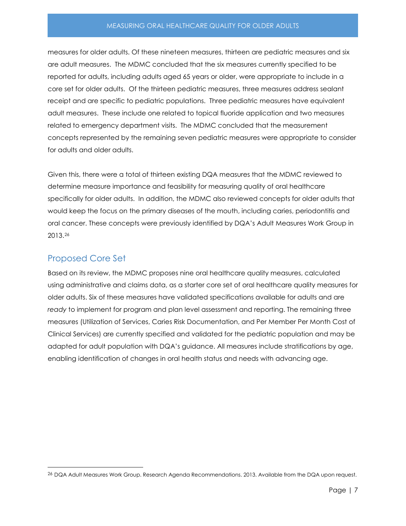measures for older adults. Of these nineteen measures, thirteen are pediatric measures and six are adult measures. The MDMC concluded that the six measures currently specified to be reported for adults, including adults aged 65 years or older, were appropriate to include in a core set for older adults. Of the thirteen pediatric measures, three measures address sealant receipt and are specific to pediatric populations. Three pediatric measures have equivalent adult measures. These include one related to topical fluoride application and two measures related to emergency department visits. The MDMC concluded that the measurement concepts represented by the remaining seven pediatric measures were appropriate to consider for adults and older adults.

Given this, there were a total of thirteen existing DQA measures that the MDMC reviewed to determine measure importance and feasibility for measuring quality of oral healthcare specifically for older adults. In addition, the MDMC also reviewed concepts for older adults that would keep the focus on the primary diseases of the mouth, including caries, periodontitis and oral cancer. These concepts were previously identified by DQA's Adult Measures Work Group in 2013.[26](#page-7-1) 

#### <span id="page-7-0"></span>Proposed Core Set

Based on its review, the MDMC proposes nine oral healthcare quality measures, calculated using administrative and claims data, as a starter core set of oral healthcare quality measures for older adults. Six of these measures have validated specifications available for adults and are *ready* to implement for program and plan level assessment and reporting. The remaining three measures (Utilization of Services, Caries Risk Documentation, and Per Member Per Month Cost of Clinical Services) are currently specified and validated for the pediatric population and may be adapted for adult population with DQA's guidance. All measures include stratifications by age, enabling identification of changes in oral health status and needs with advancing age.

<span id="page-7-1"></span><sup>&</sup>lt;sup>26</sup> DQA Adult Measures Work Group. Research Agenda Recommendations. 2013. Available from the DQA upon request.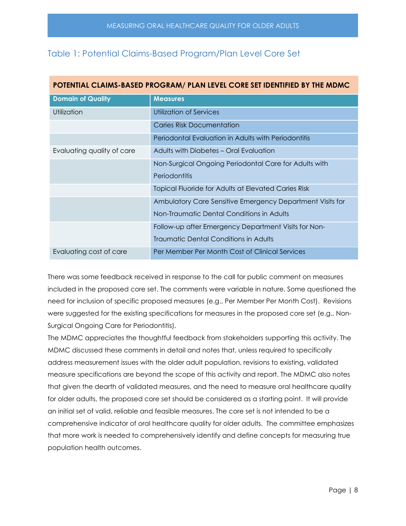#### <span id="page-8-0"></span>Table 1: Potential Claims-Based Program/Plan Level Core Set

| POTENTIAL CLAIMS-BASED PROGRAM/ PLAN LEVEL CORE SET IDENTIFIED BY THE MDMC |                                                           |  |
|----------------------------------------------------------------------------|-----------------------------------------------------------|--|
| <b>Domain of Quality</b>                                                   | <b>Measures</b>                                           |  |
| Utilization                                                                | Utilization of Services                                   |  |
|                                                                            | Caries Risk Documentation                                 |  |
|                                                                            | Periodontal Evaluation in Adults with Periodontitis       |  |
| Evaluating quality of care                                                 | Adults with Diabetes - Oral Evaluation                    |  |
|                                                                            | Non-Surgical Ongoing Periodontal Care for Adults with     |  |
|                                                                            | Periodontitis                                             |  |
|                                                                            | Topical Fluoride for Adults at Elevated Caries Risk       |  |
|                                                                            | Ambulatory Care Sensitive Emergency Department Visits for |  |
|                                                                            | Non-Traumatic Dental Conditions in Adults                 |  |
|                                                                            | Follow-up after Emergency Department Visits for Non-      |  |
|                                                                            | Traumatic Dental Conditions in Adults                     |  |
| Evaluating cost of care                                                    | Per Member Per Month Cost of Clinical Services            |  |

There was some feedback received in response to the call for public comment on measures included in the proposed core set. The comments were variable in nature. Some questioned the need for inclusion of specific proposed measures (e.g., Per Member Per Month Cost). Revisions were suggested for the existing specifications for measures in the proposed core set (e.g., Non-Surgical Ongoing Care for Periodontitis).

The MDMC appreciates the thoughtful feedback from stakeholders supporting this activity. The MDMC discussed these comments in detail and notes that, unless required to specifically address measurement issues with the older adult population, revisions to existing, validated measure specifications are beyond the scope of this activity and report. The MDMC also notes that given the dearth of validated measures, and the need to measure oral healthcare quality for older adults, the proposed core set should be considered as a starting point. It will provide an initial set of valid, reliable and feasible measures. The core set is not intended to be a comprehensive indicator of oral healthcare quality for older adults. The committee emphasizes that more work is needed to comprehensively identify and define concepts for measuring true population health outcomes.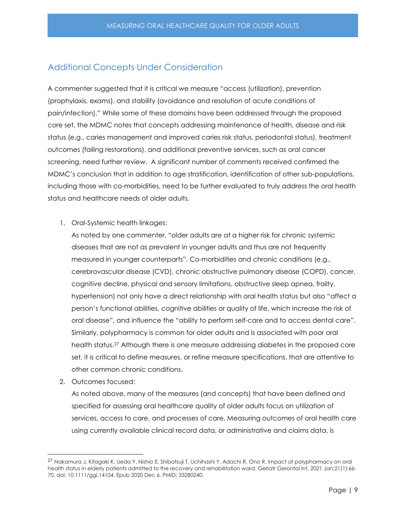#### <span id="page-9-0"></span>Additional Concepts Under Consideration

A commenter suggested that it is critical we measure "access (utilization), prevention (prophylaxis, exams), and stability (avoidance and resolution of acute conditions of pain/infection)." While some of these domains have been addressed through the proposed core set, the MDMC notes that concepts addressing maintenance of health, disease and risk status (e.g., caries management and improved caries risk status, periodontal status), treatment outcomes (failing restorations), and additional preventive services, such as oral cancer screening, need further review. A significant number of comments received confirmed the MDMC's conclusion that in addition to age stratification, identification of other sub-populations, including those with co-morbidities, need to be further evaluated to truly address the oral health status and healthcare needs of older adults.

1. Oral-Systemic health linkages:

As noted by one commenter, "older adults are at a higher risk for chronic systemic diseases that are not as prevalent in younger adults and thus are not frequently measured in younger counterparts". Co-morbidities and chronic conditions (e.g., cerebrovascular disease (CVD), chronic obstructive pulmonary disease (COPD), cancer, cognitive decline, physical and sensory limitations, obstructive sleep apnea, frailty, hypertension) not only have a direct relationship with oral health status but also "affect a person's functional abilities, cognitive abilities or quality of life, which increase the risk of oral disease", and influence the "ability to perform self-care and to access dental care". Similarly, polypharmacy is common for older adults and is associated with poor oral health status.[27](#page-9-1) Although there is one measure addressing diabetes in the proposed core set, it is critical to define measures, or refine measure specifications, that are attentive to other common chronic conditions.

2. Outcomes focused:

As noted above, many of the measures (and concepts) that have been defined and specified for assessing oral healthcare quality of older adults focus on utilization of services, access to care, and processes of care. Measuring outcomes of oral health care using currently available clinical record data, or administrative and claims data, is

<span id="page-9-1"></span> <sup>27</sup> Nakamura J, Kitagaki K, Ueda Y, Nishio E, Shibatsuji T, Uchihashi Y, Adachi R, Ono R. Impact of polypharmacy on oral health status in elderly patients admitted to the recovery and rehabilitation ward. Geriatr Gerontol Int. 2021 Jan;21(1):66- 70. doi: 10.1111/ggi.14104. Epub 2020 Dec 6. PMID: 33280240.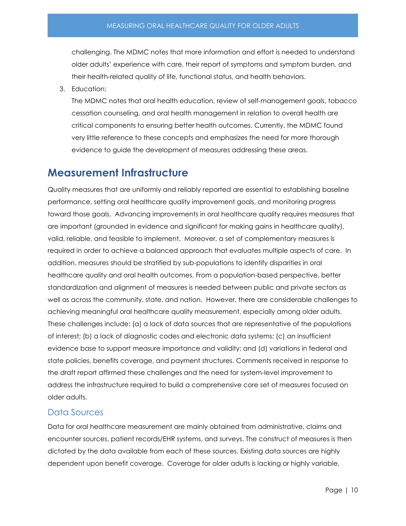challenging. The MDMC notes that more information and effort is needed to understand older adults' experience with care, their report of symptoms and symptom burden, and their health-related quality of life, functional status, and health behaviors.

3. Education:

The MDMC notes that oral health education, review of self-management goals, tobacco cessation counseling, and oral health management in relation to overall health are critical components to ensuring better health outcomes. Currently, the MDMC found very little reference to these concepts and emphasizes the need for more thorough evidence to guide the development of measures addressing these areas.

# <span id="page-10-0"></span>**Measurement Infrastructure**

Quality measures that are uniformly and reliably reported are essential to establishing baseline performance, setting oral healthcare quality improvement goals, and monitoring progress toward those goals. Advancing improvements in oral healthcare quality requires measures that are important (grounded in evidence and significant for making gains in healthcare quality), valid, reliable, and feasible to implement. Moreover, a set of complementary measures is required in order to achieve a balanced approach that evaluates multiple aspects of care. In addition, measures should be stratified by sub-populations to identify disparities in oral healthcare quality and oral health outcomes. From a population-based perspective, better standardization and alignment of measures is needed between public and private sectors as well as across the community, state, and nation. However, there are considerable challenges to achieving meaningful oral healthcare quality measurement, especially among older adults. These challenges include: (a) a lack of data sources that are representative of the populations of interest; (b) a lack of diagnostic codes and electronic data systems; (c) an insufficient evidence base to support measure importance and validity; and (d) variations in federal and state policies, benefits coverage, and payment structures. Comments received in response to the draft report affirmed these challenges and the need for system-level improvement to address the infrastructure required to build a comprehensive core set of measures focused on older adults.

#### <span id="page-10-1"></span>Data Sources

Data for oral healthcare measurement are mainly obtained from administrative, claims and encounter sources, patient records/EHR systems, and surveys. The construct of measures is then dictated by the data available from each of these sources. Existing data sources are highly dependent upon benefit coverage. Coverage for older adults is lacking or highly variable,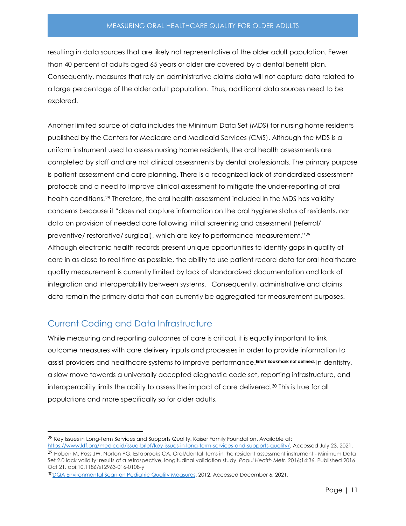resulting in data sources that are likely not representative of the older adult population. Fewer than 40 percent of adults aged 65 years or older are covered by a dental benefit plan. Consequently, measures that rely on administrative claims data will not capture data related to a large percentage of the older adult population. Thus, additional data sources need to be explored.

Another limited source of data includes the Minimum Data Set (MDS) for nursing home residents published by the Centers for Medicare and Medicaid Services (CMS). Although the MDS is a uniform instrument used to assess nursing home residents, the oral health assessments are completed by staff and are not clinical assessments by dental professionals. The primary purpose is patient assessment and care planning. There is a recognized lack of standardized assessment protocols and a need to improve clinical assessment to mitigate the under-reporting of oral health conditions.[28](#page-11-1) Therefore, the oral health assessment included in the MDS has validity concerns because it "does not capture information on the oral hygiene status of residents, nor data on provision of needed care following initial screening and assessment (referral/ preventive/ restorative/ surgical), which are key to performance measurement."[29](#page-11-2) Although electronic health records present unique opportunities to identify gaps in quality of care in as close to real time as possible, the ability to use patient record data for oral healthcare quality measurement is currently limited by lack of standardized documentation and lack of integration and interoperability between systems. Consequently, administrative and claims data remain the primary data that can currently be aggregated for measurement purposes.

#### <span id="page-11-0"></span>Current Coding and Data Infrastructure

While measuring and reporting outcomes of care is critical, it is equally important to link outcome measures with care delivery inputs and processes in order to provide information to assist providers and healthcare systems to improve performance.**Error! Bookmark not defined.** In dentistry, a slow move towards a universally accepted diagnostic code set, reporting infrastructure, and interoperability limits the ability to assess the impact of care delivered.[30](#page-11-3) This is true for all populations and more specifically so for older adults.

[https://www.kff.org/medicaid/issue-brief/key-issues-in-long-term-services-and-supports-quality/.](https://www.kff.org/medicaid/issue-brief/key-issues-in-long-term-services-and-supports-quality/) Accessed July 23, 2021.

<span id="page-11-1"></span><sup>&</sup>lt;sup>28</sup> Key Issues in Long-Term Services and Supports Quality. Kaiser Family Foundation. Available at:

<span id="page-11-2"></span><sup>29</sup> Hoben M, Poss JW, Norton PG, Estabrooks CA. Oral/dental items in the resident assessment instrument - Minimum Data Set 2.0 lack validity: results of a retrospective, longitudinal validation study. *Popul Health Metr*. 2016;14:36. Published 2016 Oct 21. doi:10.1186/s12963-016-0108-y

<span id="page-11-3"></span><sup>30&</sup>lt;sub>DQA</sub> Environmental Scan on Pediatric Quality Measures. 2012. Accessed December 6, 2021.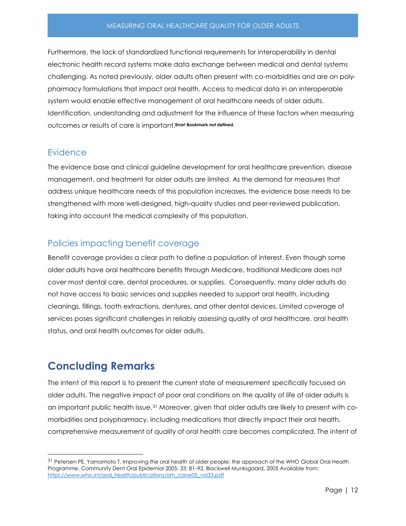Furthermore, the lack of standardized functional requirements for interoperability in dental electronic health record systems make data exchange between medical and dental systems challenging. As noted previously, older adults often present with co-morbidities and are on polypharmacy formulations that impact oral health. Access to medical data in an interoperable system would enable effective management of oral healthcare needs of older adults. Identification, understanding and adjustment for the influence of these factors when measuring outcomes or results of care is important.**Error! Bookmark not defined.**

#### <span id="page-12-0"></span>Evidence

The evidence base and clinical guideline development for oral healthcare prevention, disease management, and treatment for older adults are limited. As the demand for measures that address unique healthcare needs of this population increases, the evidence base needs to be strengthened with more well-designed, high-quality studies and peer-reviewed publication, taking into account the medical complexity of this population.

#### <span id="page-12-1"></span>Policies impacting benefit coverage

Benefit coverage provides a clear path to define a population of interest. Even though some older adults have oral healthcare benefits through Medicare, traditional Medicare does not cover most dental care, dental procedures, or supplies. Consequently, many older adults do not have access to basic services and supplies needed to support oral health, including cleanings, fillings, tooth extractions, dentures, and other dental devices. Limited coverage of services poses significant challenges in reliably assessing quality of oral healthcare, oral health status, and oral health outcomes for older adults.

# <span id="page-12-2"></span>**Concluding Remarks**

The intent of this report is to present the current state of measurement specifically focused on older adults. The negative impact of poor oral conditions on the quality of life of older adults is an important public health issue.[31](#page-12-3) Moreover, given that older adults are likely to present with comorbidities and polypharmacy, including medications that directly impact their oral health, comprehensive measurement of quality of oral health care becomes complicated. The intent of

<span id="page-12-3"></span><sup>31</sup> Petersen PE, Yamamoto T. Improving the oral health of older people: the approach of the WHO Global Oral Health Programme. Community Dent Oral Epidemiol 2005; 33: 81–92. Blackwell Munksgaard, 2005 Available from: [https://www.who.int/oral\\_health/publications/orh\\_cdoe05\\_vol33.pdf](https://www.who.int/oral_health/publications/orh_cdoe05_vol33.pdf)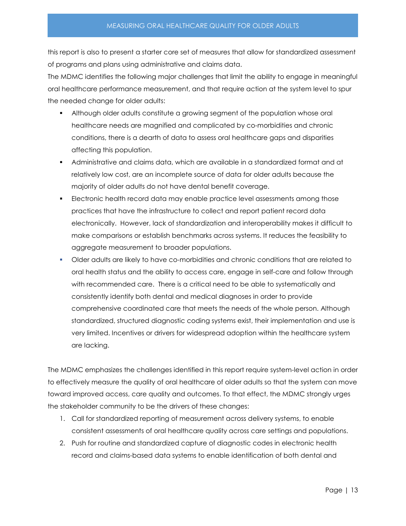this report is also to present a starter core set of measures that allow for standardized assessment of programs and plans using administrative and claims data.

The MDMC identifies the following major challenges that limit the ability to engage in meaningful oral healthcare performance measurement, and that require action at the system level to spur the needed change for older adults:

- Although older adults constitute a growing segment of the population whose oral healthcare needs are magnified and complicated by co-morbidities and chronic conditions, there is a dearth of data to assess oral healthcare gaps and disparities affecting this population.
- Administrative and claims data, which are available in a standardized format and at relatively low cost, are an incomplete source of data for older adults because the majority of older adults do not have dental benefit coverage.
- Electronic health record data may enable practice level assessments among those practices that have the infrastructure to collect and report patient record data electronically. However, lack of standardization and interoperability makes it difficult to make comparisons or establish benchmarks across systems. It reduces the feasibility to aggregate measurement to broader populations.
- <span id="page-13-0"></span> Older adults are likely to have co-morbidities and chronic conditions that are related to oral health status and the ability to access care, engage in self-care and follow through with recommended care. There is a critical need to be able to systematically and consistently identify both dental and medical diagnoses in order to provide comprehensive coordinated care that meets the needs of the whole person. Although standardized, structured diagnostic coding systems exist, their implementation and use is very limited. Incentives or drivers for widespread adoption within the healthcare system are lacking.

The MDMC emphasizes the challenges identified in this report require system-level action in order to effectively measure the quality of oral healthcare of older adults so that the system can move toward improved access, care quality and outcomes. To that effect, the MDMC strongly urges the stakeholder community to be the drivers of these changes:

- 1. Call for standardized reporting of measurement across delivery systems, to enable consistent assessments of oral healthcare quality across care settings and populations.
- 2. Push for routine and standardized capture of diagnostic codes in electronic health record and claims-based data systems to enable identification of both dental and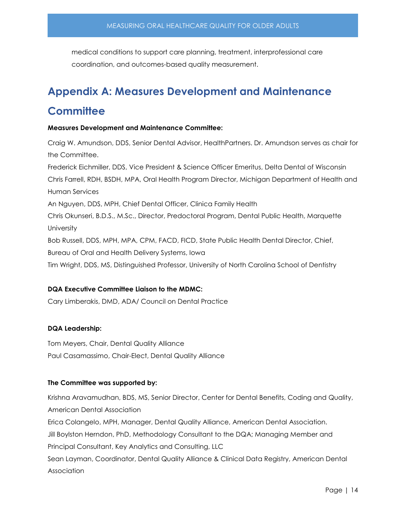medical conditions to support care planning, treatment, interprofessional care coordination, and outcomes-based quality measurement.

# <span id="page-14-0"></span>**Appendix A: Measures Development and Maintenance**

# **Committee**

#### **Measures Development and Maintenance Committee:**

Craig W. Amundson, DDS, Senior Dental Advisor, HealthPartners. Dr. Amundson serves as chair for the Committee. Frederick Eichmiller, DDS, Vice President & Science Officer Emeritus, Delta Dental of Wisconsin Chris Farrell, RDH, BSDH, MPA, Oral Health Program Director, Michigan Department of Health and Human Services An Nguyen, DDS, MPH, Chief Dental Officer, Clinica Family Health Chris Okunseri, B.D.S., M.Sc., Director, Predoctoral Program, Dental Public Health, Marquette **University** Bob Russell, DDS, MPH, MPA, CPM, FACD, FICD, State Public Health Dental Director, Chief, Bureau of Oral and Health Delivery Systems, Iowa Tim Wright, DDS, MS, Distinguished Professor, University of North Carolina School of Dentistry

#### **DQA Executive Committee Liaison to the MDMC:**

Cary Limberakis, DMD, ADA/ Council on Dental Practice

#### **DQA Leadership:**

Tom Meyers, Chair, Dental Quality Alliance Paul Casamassimo, Chair-Elect, Dental Quality Alliance

#### **The Committee was supported by:**

Krishna Aravamudhan, BDS, MS, Senior Director, Center for Dental Benefits, Coding and Quality, American Dental Association Erica Colangelo, MPH, Manager, Dental Quality Alliance, American Dental Association. Jill Boylston Herndon, PhD, Methodology Consultant to the DQA; Managing Member and Principal Consultant, Key Analytics and Consulting, LLC Sean Layman, Coordinator, Dental Quality Alliance & Clinical Data Registry, American Dental Association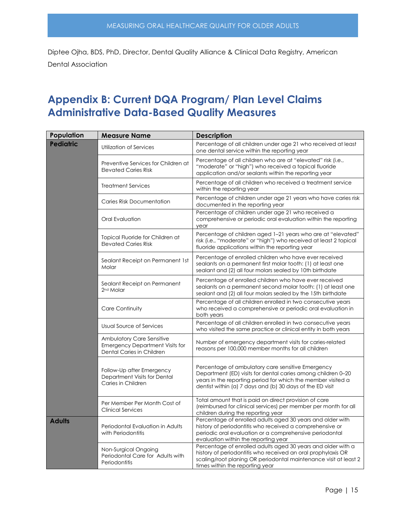Diptee Ojha, BDS, PhD, Director, Dental Quality Alliance & Clinical Data Registry, American Dental Association

# <span id="page-15-0"></span>**Appendix B: Current DQA Program/ Plan Level Claims Administrative Data-Based Quality Measures**

| Population       | <b>Measure Name</b>                                                                                     | <b>Description</b>                                                                                                                                                                                                                             |
|------------------|---------------------------------------------------------------------------------------------------------|------------------------------------------------------------------------------------------------------------------------------------------------------------------------------------------------------------------------------------------------|
| <b>Pediatric</b> | Utilization of Services                                                                                 | Percentage of all children under age 21 who received at least<br>one dental service within the reporting year                                                                                                                                  |
|                  | Preventive Services for Children at<br><b>Elevated Caries Risk</b>                                      | Percentage of all children who are at "elevated" risk (i.e.,<br>"moderate" or "high") who received a topical fluoride<br>application and/or sealants within the reporting year                                                                 |
|                  | <b>Treatment Services</b>                                                                               | Percentage of all children who received a treatment service<br>within the reporting year                                                                                                                                                       |
|                  | <b>Caries Risk Documentation</b>                                                                        | Percentage of children under age 21 years who have caries risk<br>documented in the reporting year                                                                                                                                             |
|                  | Oral Evaluation                                                                                         | Percentage of children under age 21 who received a<br>comprehensive or periodic oral evaluation within the reporting<br>year                                                                                                                   |
|                  | Topical Fluoride for Children at<br><b>Elevated Caries Risk</b>                                         | Percentage of children aged 1-21 years who are at "elevated"<br>risk (i.e., "moderate" or "high") who received at least 2 topical<br>fluoride applications within the reporting year                                                           |
|                  | Sealant Receipt on Permanent 1st<br>Molar                                                               | Percentage of enrolled children who have ever received<br>sealants on a permanent first molar tooth: (1) at least one<br>sealant and (2) all four molars sealed by 10th birthdate                                                              |
|                  | Sealant Receipt on Permanent<br>2 <sup>nd</sup> Molar                                                   | Percentage of enrolled children who have ever received<br>sealants on a permanent second molar tooth: (1) at least one<br>sealant and (2) all four molars sealed by the 15th birthdate                                                         |
|                  | Care Continuity                                                                                         | Percentage of all children enrolled in two consecutive years<br>who received a comprehensive or periodic oral evaluation in<br>both years                                                                                                      |
|                  | <b>Usual Source of Services</b>                                                                         | Percentage of all children enrolled in two consecutive years<br>who visited the same practice or clinical entity in both years                                                                                                                 |
|                  | <b>Ambulatory Care Sensitive</b><br><b>Emergency Department Visits for</b><br>Dental Caries in Children | Number of emergency department visits for caries-related<br>reasons per 100,000 member months for all children                                                                                                                                 |
|                  | Follow-Up after Emergency<br>Department Visits for Dental<br>Caries in Children                         | Percentage of ambulatory care sensitive Emergency<br>Department (ED) visits for dental caries among children 0-20<br>years in the reporting period for which the member visited a<br>dentist within (a) 7 days and (b) 30 days of the ED visit |
|                  | Per Member Per Month Cost of<br><b>Clinical Services</b>                                                | Total amount that is paid on direct provision of care<br>(reimbursed for clinical services) per member per month for all<br>children during the reporting year                                                                                 |
| <b>Adults</b>    | Periodontal Evaluation in Adults<br>with Periodontitis                                                  | Percentage of enrolled adults aged 30 years and older with<br>history of periodontitis who received a comprehensive or<br>periodic oral evaluation or a comprehensive periodontal<br>evaluation within the reporting year                      |
|                  | Non-Surgical Ongoing<br>Periodontal Care for Adults with<br>Periodontitis                               | Percentage of enrolled adults aged 30 years and older with a<br>history of periodontitis who received an oral prophylaxis OR<br>scaling/root planing OR periodontal maintenance visit at least 2<br>times within the reporting year            |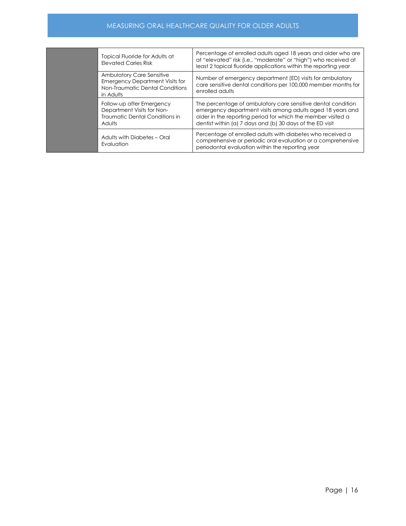| Topical Fluoride for Adults at<br><b>Elevated Caries Risk</b>                                                              | Percentage of enrolled adults aged 18 years and older who are<br>at "elevated" risk (i.e., "moderate" or "high") who received at<br>least 2 topical fluoride applications within the reporting year                                                     |
|----------------------------------------------------------------------------------------------------------------------------|---------------------------------------------------------------------------------------------------------------------------------------------------------------------------------------------------------------------------------------------------------|
| <b>Ambulatory Care Sensitive</b><br><b>Emergency Department Visits for</b><br>Non-Traumatic Dental Conditions<br>in Adults | Number of emergency department (ED) visits for ambulatory<br>care sensitive dental conditions per 100,000 member months for<br>enrolled adults                                                                                                          |
| Follow-up after Emergency<br>Department Visits for Non-<br>Traumatic Dental Conditions in<br>Adults                        | The percentage of ambulatory care sensitive dental condition<br>emergency department visits among adults aged 18 years and<br>older in the reporting period for which the member visited a<br>dentist within (a) 7 days and (b) 30 days of the ED visit |
| Adults with Diabetes - Oral<br>Evaluation                                                                                  | Percentage of enrolled adults with diabetes who received a<br>comprehensive or periodic oral evaluation or a comprehensive<br>periodontal evaluation within the reporting year                                                                          |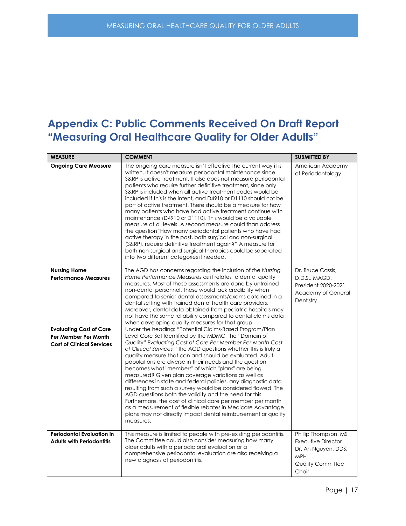# <span id="page-17-0"></span>**Appendix C: Public Comments Received On Draft Report "Measuring Oral Healthcare Quality for Older Adults"**

| <b>MEASURE</b>                                                                                                                                   | <b>COMMENT</b>                                                                                                                                                                                                                                                                                                                                                                                                                                                                                                                                                                                                                                                                                                                                                                                                                                                                                                                                                                                                                                                                                                                                                                          | <b>SUBMITTED BY</b>                                                                                           |
|--------------------------------------------------------------------------------------------------------------------------------------------------|-----------------------------------------------------------------------------------------------------------------------------------------------------------------------------------------------------------------------------------------------------------------------------------------------------------------------------------------------------------------------------------------------------------------------------------------------------------------------------------------------------------------------------------------------------------------------------------------------------------------------------------------------------------------------------------------------------------------------------------------------------------------------------------------------------------------------------------------------------------------------------------------------------------------------------------------------------------------------------------------------------------------------------------------------------------------------------------------------------------------------------------------------------------------------------------------|---------------------------------------------------------------------------------------------------------------|
| <b>Ongoing Care Measure</b>                                                                                                                      | The ongoing care measure isn't effective the current way it is<br>written. It doesn't measure periodontal maintenance since<br>S&RP is active treatment. It also does not measure periodontal<br>patients who require further definitive treatment, since only<br>S&RP is included when all active treatment codes would be<br>included if this is the intent, and D4910 or D1110 should not be<br>part of active treatment. There should be a measure for how<br>many patients who have had active treatment continue with<br>maintenance (D4910 or D1110). This would be a valuable<br>measure at all levels. A second measure could than address<br>the question "How many periodontal patients who have had<br>active therapy in the past, both surgical and non-surgical<br>(S&RP), require definitive treatment again?" A measure for<br>both non-surgical and surgical therapies could be separated<br>into two different categories if needed.                                                                                                                                                                                                                                  | American Academy<br>of Periodontology                                                                         |
| <b>Nursing Home</b><br><b>Performance Measures</b><br><b>Evaluating Cost of Care</b><br>Per Member Per Month<br><b>Cost of Clinical Services</b> | The AGD has concerns regarding the inclusion of the Nursing<br>Home Performance Measures as it relates to dental quality<br>measures. Most of these assessments are done by untrained<br>non-dental personnel. These would lack credibility when<br>compared to senior dental assessments/exams obtained in a<br>dental setting with trained dental health care providers.<br>Moreover, dental data obtained from pediatric hospitals may<br>not have the same reliability compared to dental claims data<br>when developing quality measures for that group.<br>Under the heading: "Potential Claims-Based Program/Plan<br>Level Core Set Identified by the MDMC, the "Domain of<br>Quality" Evaluating Cost of Care Per Member Per Month Cost<br>of Clinical Services," the AGD questions whether this is truly a<br>quality measure that can and should be evaluated. Adult<br>populations are diverse in their needs and the question<br>becomes what "members" of which "plans" are being<br>measured? Given plan coverage variations as well as<br>differences in state and federal policies, any diagnostic data<br>resulting from such a survey would be considered flawed. The | Dr. Bruce Cassis,<br>D.D.S., MAGD,<br>President 2020-2021<br>Academy of General<br>Dentistry                  |
|                                                                                                                                                  | AGD questions both the validity and the need for this.<br>Furthermore, the cost of clinical care per member per month<br>as a measurement of flexible rebates in Medicare Advantage<br>plans may not directly impact dental reimbursement or quality<br>measures.                                                                                                                                                                                                                                                                                                                                                                                                                                                                                                                                                                                                                                                                                                                                                                                                                                                                                                                       |                                                                                                               |
| <b>Periodontal Evaluation in</b><br><b>Adults with Periodontitis</b>                                                                             | This measure is limited to people with pre-existing periodontitis.<br>The Committee could also consider measuring how many<br>older adults with a periodic oral evaluation or a<br>comprehensive periodontal evaluation are also receiving a<br>new diagnosis of periodontitis.                                                                                                                                                                                                                                                                                                                                                                                                                                                                                                                                                                                                                                                                                                                                                                                                                                                                                                         | Phillip Thompson, MS<br>Executive Director<br>Dr. An Nguyen, DDS,<br><b>MPH</b><br>Quality Committee<br>Chair |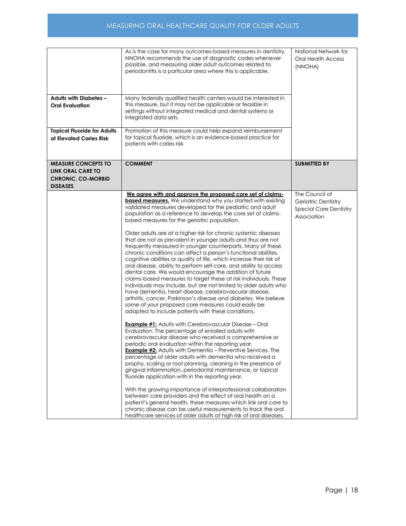|                                                                                                 | As is the case for many outcomes-based measures in dentistry,<br>NNOHA recommends the use of diagnostic codes whenever<br>possible, and measuring older adult outcomes related to<br>periodontitis is a particular area where this is applicable.                                                                                                                                                                                                                                                                                                                                                                                                                                                                                                                                                                                                                                                                                                                                                                                                                                                                                                                                                                                                                                                                                                                                                                                                                                                                                                                                                                                                                                                                                                                                                                                                                                                                                                                                                                                                                              | National Network for<br><b>Oral Health Access</b><br>(NNOHA)                                 |
|-------------------------------------------------------------------------------------------------|--------------------------------------------------------------------------------------------------------------------------------------------------------------------------------------------------------------------------------------------------------------------------------------------------------------------------------------------------------------------------------------------------------------------------------------------------------------------------------------------------------------------------------------------------------------------------------------------------------------------------------------------------------------------------------------------------------------------------------------------------------------------------------------------------------------------------------------------------------------------------------------------------------------------------------------------------------------------------------------------------------------------------------------------------------------------------------------------------------------------------------------------------------------------------------------------------------------------------------------------------------------------------------------------------------------------------------------------------------------------------------------------------------------------------------------------------------------------------------------------------------------------------------------------------------------------------------------------------------------------------------------------------------------------------------------------------------------------------------------------------------------------------------------------------------------------------------------------------------------------------------------------------------------------------------------------------------------------------------------------------------------------------------------------------------------------------------|----------------------------------------------------------------------------------------------|
| Adults with Diabetes -<br><b>Oral Evaluation</b>                                                | Many federally qualified health centers would be interested in<br>this measure, but it may not be applicable or feasible in<br>settings without integrated medical and dental systems or<br>integrated data sets.                                                                                                                                                                                                                                                                                                                                                                                                                                                                                                                                                                                                                                                                                                                                                                                                                                                                                                                                                                                                                                                                                                                                                                                                                                                                                                                                                                                                                                                                                                                                                                                                                                                                                                                                                                                                                                                              |                                                                                              |
| <b>Topical Fluoride for Adults</b><br>at Elevated Caries Risk                                   | Promotion of this measure could help expand reimbursement<br>for topical fluoride, which is an evidence-based practice for<br>patients with caries risk                                                                                                                                                                                                                                                                                                                                                                                                                                                                                                                                                                                                                                                                                                                                                                                                                                                                                                                                                                                                                                                                                                                                                                                                                                                                                                                                                                                                                                                                                                                                                                                                                                                                                                                                                                                                                                                                                                                        |                                                                                              |
| <b>MEASURE CONCEPTS TO</b><br>LINK ORAL CARE TO<br><b>CHRONIC, CO-MORBID</b><br><b>DISEASES</b> | <b>COMMENT</b>                                                                                                                                                                                                                                                                                                                                                                                                                                                                                                                                                                                                                                                                                                                                                                                                                                                                                                                                                                                                                                                                                                                                                                                                                                                                                                                                                                                                                                                                                                                                                                                                                                                                                                                                                                                                                                                                                                                                                                                                                                                                 | <b>SUBMITTED BY</b>                                                                          |
|                                                                                                 | We agree with and approve the proposed core set of claims-<br><b>based measures.</b> We understand why you started with existing<br>validated measures developed for the pediatric and adult<br>population as a reference to develop the core set of claims-<br>based measures for the geriatric population.<br>Older adults are at a higher risk for chronic systemic diseases<br>that are not as prevalent in younger adults and thus are not<br>frequently measured in younger counterparts. Many of these<br>chronic conditions can affect a person's functional abilities,<br>cognitive abilities or quality of life, which increase their risk of<br>oral disease, ability to perform self-care, and ability to access<br>dental care. We would encourage the addition of future<br>claims-based measures to target these at risk individuals. These<br>individuals may include, but are not limited to older adults who<br>have dementia, heart disease, cerebrovascular disease,<br>arthritis, cancer, Parkinson's disease and diabetes. We believe<br>some of your proposed core measures could easily be<br>adapted to include patients with these conditions.<br><b>Example #1:</b> Adults with Cerebrovascular Disease - Oral<br>Evaluation. The percentage of enrolled adults with<br>cerebrovascular disease who received a comprehensive or<br>periodic oral evaluation within the reporting year.<br><b>Example #2:</b> Adults with Dementia - Preventive Services. The<br>percentage of older adults with dementia who received a<br>prophy, scaling or root planning, cleaning in the presence of<br>gingival inflammation, periodontal maintenance, or topical<br>fluoride application with in the reporting year.<br>With the growing importance of interprofessional collaboration<br>between care providers and the effect of oral health on a<br>patient's general health, these measures which link oral care to<br>chronic disease can be useful measurements to track the oral<br>healthcare services of older adults at high risk of oral diseases. | The Council of<br><b>Geriatric Dentistry</b><br><b>Special Care Dentistry</b><br>Association |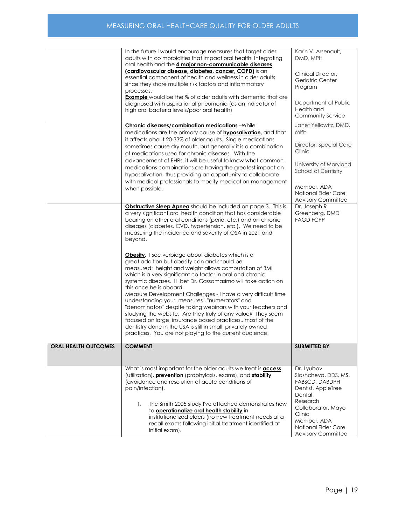|                             | In the future I would encourage measures that target older<br>adults with co morbidities that impact oral health. Integrating<br>oral health and the 4 major non-communicable diseases<br>(cardiovascular disease, diabetes, cancer, COPD) is an<br>essential component of health and wellness in older adults<br>since they share multiple risk factors and inflammatory<br>processes.<br><b>Example</b> would be the % of older adults with dementia that are<br>diagnosed with aspirational pneumonia (as an indicator of<br>high oral bacteria levels/poor oral health)                                                                                                                                                                                                                                                                                                                                                                                                                                                                                                                                     | Karin V. Arsenault,<br>DMD, MPH<br>Clinical Director,<br>Geriatric Center<br>Program<br>Department of Public<br>Health and<br>Community Service                                                     |
|-----------------------------|-----------------------------------------------------------------------------------------------------------------------------------------------------------------------------------------------------------------------------------------------------------------------------------------------------------------------------------------------------------------------------------------------------------------------------------------------------------------------------------------------------------------------------------------------------------------------------------------------------------------------------------------------------------------------------------------------------------------------------------------------------------------------------------------------------------------------------------------------------------------------------------------------------------------------------------------------------------------------------------------------------------------------------------------------------------------------------------------------------------------|-----------------------------------------------------------------------------------------------------------------------------------------------------------------------------------------------------|
|                             | Chronic diseases/combination medications-While<br>medications are the primary cause of <b>hyposalivation</b> , and that<br>it affects about 20-33% of older adults. Single medications<br>sometimes cause dry mouth, but generally it is a combination<br>of medications used for chronic diseases. With the<br>advancement of EHRs, it will be useful to know what common<br>medications combinations are having the greatest impact on<br>hyposalivation, thus providing an opportunity to collaborate<br>with medical professionals to modify medication management<br>when possible.                                                                                                                                                                                                                                                                                                                                                                                                                                                                                                                        | Janet Yellowitz, DMD,<br><b>MPH</b><br>Director, Special Care<br>Clinic<br>University of Maryland<br>School of Dentistry<br>Member, ADA<br>National Elder Care<br><b>Advisory Committee</b>         |
|                             | <b>Obstructive Sleep Apnea</b> should be included on page 3. This is<br>a very significant oral health condition that has considerable<br>bearing on other oral conditions (perio, etc.) and on chronic<br>diseases (diabetes, CVD, hypertension, etc.). We need to be<br>measuring the incidence and severity of OSA in 2021 and<br>beyond.<br>Obesity. I see verbiage about diabetes which is a<br>great addition but obesity can and should be<br>measured: height and weight allows computation of BMI<br>which is a very significant co factor in oral and chronic<br>systemic diseases. I'll bet Dr. Cassamasimo will take action on<br>this once he is aboard.<br>Measure Development Challenges - I have a very difficult time<br>understanding your "measures", "numerators" and<br>"denominators" despite taking webinars with your teachers and<br>studying the website. Are they truly of any value? They seem<br>focused on large, insurance based practicesmost of the<br>dentistry done in the USA is still in small, privately owned<br>practices. You are not playing to the current audience. | Dr. Joseph R<br>Greenberg, DMD<br><b>FAGD FCPP</b>                                                                                                                                                  |
| <b>ORAL HEALTH OUTCOMES</b> | <b>COMMENT</b>                                                                                                                                                                                                                                                                                                                                                                                                                                                                                                                                                                                                                                                                                                                                                                                                                                                                                                                                                                                                                                                                                                  | <b>SUBMITTED BY</b>                                                                                                                                                                                 |
|                             | What is most important for the older adults we treat is access<br>(utilization), prevention (prophylaxis, exams), and stability<br>(avoidance and resolution of acute conditions of<br>pain/infection).<br>1.<br>The Smith 2005 study I've attached demonstrates how<br>to operationalize oral health stability in<br>institutionalized elders (no new treatment needs at a<br>recall exams following initial treatment identified at<br>initial exam).                                                                                                                                                                                                                                                                                                                                                                                                                                                                                                                                                                                                                                                         | Dr. Lyubov<br>Slashcheva, DDS, MS,<br>FABSCD, DABDPH<br>Dentist, AppleTree<br>Dental<br>Research<br>Collaborator, Mayo<br>Clinic<br>Member, ADA<br>National Elder Care<br><b>Advisory Committee</b> |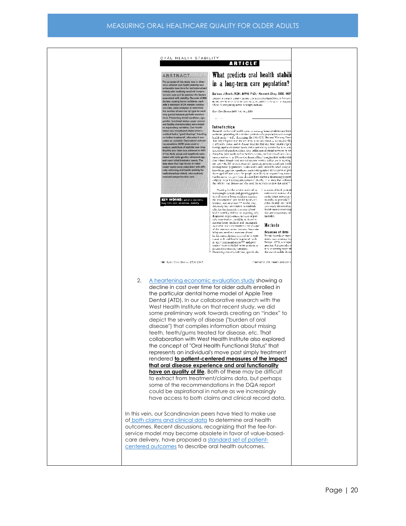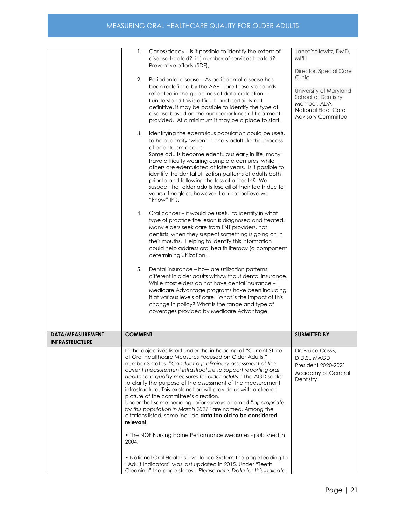|                                           | 1.             | Caries/decay - is it possible to identify the extent of<br>disease treated? ie) number of services treated?<br>Preventive efforts (SDF),                                                                                                                                                                                                                                                                                                                                                                                                                                                                                                                                                                                                                       | Janet Yellowitz, DMD,<br><b>MPH</b><br>Director, Special Care                                                                     |
|-------------------------------------------|----------------|----------------------------------------------------------------------------------------------------------------------------------------------------------------------------------------------------------------------------------------------------------------------------------------------------------------------------------------------------------------------------------------------------------------------------------------------------------------------------------------------------------------------------------------------------------------------------------------------------------------------------------------------------------------------------------------------------------------------------------------------------------------|-----------------------------------------------------------------------------------------------------------------------------------|
|                                           | 2.             | Periodontal disease - As periodontal disease has<br>been redefined by the AAP - are these standards<br>reflected in the guidelines of data collection -<br>I understand this is difficult, and certainly not<br>definitive, it may be possible to identify the type of<br>disease based on the number or kinds of treatment<br>provided. At a minimum it may be a place to start.                                                                                                                                                                                                                                                                                                                                                                              | Clinic<br>University of Maryland<br><b>School of Dentistry</b><br>Member, ADA<br>National Elder Care<br><b>Advisory Committee</b> |
|                                           | 3.             | Identifying the edentulous population could be useful<br>to help identify 'when' in one's adult life the process<br>of edentulism occurs.<br>Some adults become edentulous early in life, many<br>have difficulty wearing complete dentures, while<br>others are edentulated at later years. Is it possible to<br>identify the dental utilization patterns of adults both<br>prior to and following the loss of all teeth? We<br>suspect that older adults lose all of their teeth due to<br>years of neglect, however, I do not believe we<br>"know" this.                                                                                                                                                                                                    |                                                                                                                                   |
|                                           | 4.             | Oral cancer – it would be useful to identify in what<br>type of practice the lesion is diagnosed and treated.<br>Many elders seek care from ENT providers, not<br>dentists, when they suspect something is going on in<br>their mouths. Helping to identify this information<br>could help address oral health literacy (a component<br>determining utilization).                                                                                                                                                                                                                                                                                                                                                                                              |                                                                                                                                   |
|                                           | 5.             | Dental insurance – how are utilization patterns<br>different in older adults with/without dental insurance.<br>While most elders do not have dental insurance -<br>Medicare Advantage programs have been including<br>it at various levels of care. What is the impact of this<br>change in policy? What is the range and type of<br>coverages provided by Medicare Advantage                                                                                                                                                                                                                                                                                                                                                                                  |                                                                                                                                   |
| DATA/MEASUREMENT<br><b>INFRASTRUCTURE</b> | <b>COMMENT</b> |                                                                                                                                                                                                                                                                                                                                                                                                                                                                                                                                                                                                                                                                                                                                                                | <b>SUBMITTED BY</b>                                                                                                               |
|                                           | relevant:      | In the objectives listed under the in heading of "Current State<br>of Oral Healthcare Measures Focused on Older Adults,"<br>number 3 states: "Conduct a preliminary assessment of the<br>current measurement infrastructure to support reporting oral<br>healthcare quality measures for older adults." The AGD seeks<br>to clarify the purpose of the assessment of the measurement<br>infrastructure. This explanation will provide us with a clearer<br>picture of the committee's direction.<br>Under that same heading, prior surveys deemed "appropriate<br>for this population in March 2021" are named. Among the<br>citations listed, some include <b>data too old to be considered</b><br>• The NQF Nursing Home Performance Measures - published in | Dr. Bruce Cassis,<br>D.D.S., MAGD,<br>President 2020-2021<br>Academy of General<br>Dentistry                                      |
|                                           | 2004.          | • National Oral Health Surveillance System The page leading to<br>"Adult Indicators" was last updated in 2015. Under "Teeth"<br>Cleaning" the page states: "Please note: Data for this indicator                                                                                                                                                                                                                                                                                                                                                                                                                                                                                                                                                               |                                                                                                                                   |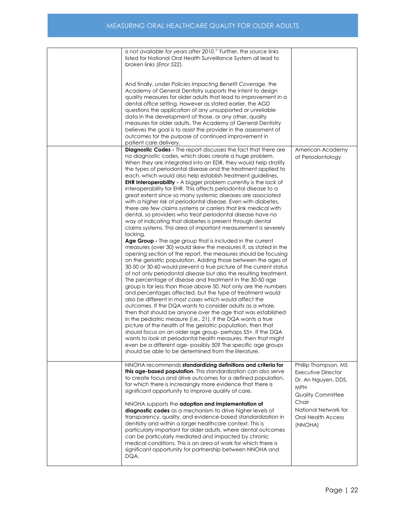| is not available for years after 2010." Further, the source links<br>listed for National Oral Health Surveillance System all lead to<br>broken links ( <i>Error 522</i> ).<br>And finally, under Policies Impacting Benefit Coverage, the<br>Academy of General Dentistry supports the intent to design<br>quality measures for older adults that lead to improvement in a<br>dental office setting. However as stated earlier, the AGD<br>questions the application of any unsupported or unreliable<br>data in the development of those, or any other, quality<br>measures for older adults. The Academy of General Dentistry<br>believes the goal is to assist the provider in the assessment of<br>outcomes for the purpose of continued improvement in<br>patient care delivery.<br>Diagnostic Codes - The report discusses the fact that there are                                                                                                                                                                                                                                                                                                                                                                                                                                                                                                                                                                                                                                                                                                                                                                                                                                                                                                                                                                                                                                                                                                                                                    | American Academy                                                                                                                                                                     |
|-------------------------------------------------------------------------------------------------------------------------------------------------------------------------------------------------------------------------------------------------------------------------------------------------------------------------------------------------------------------------------------------------------------------------------------------------------------------------------------------------------------------------------------------------------------------------------------------------------------------------------------------------------------------------------------------------------------------------------------------------------------------------------------------------------------------------------------------------------------------------------------------------------------------------------------------------------------------------------------------------------------------------------------------------------------------------------------------------------------------------------------------------------------------------------------------------------------------------------------------------------------------------------------------------------------------------------------------------------------------------------------------------------------------------------------------------------------------------------------------------------------------------------------------------------------------------------------------------------------------------------------------------------------------------------------------------------------------------------------------------------------------------------------------------------------------------------------------------------------------------------------------------------------------------------------------------------------------------------------------------------------|--------------------------------------------------------------------------------------------------------------------------------------------------------------------------------------|
| no diagnostic codes, which does create a huge problem.<br>When they are integrated into an EDR, they would help stratify<br>the types of periodontal disease and the treatment applied to<br>each, which would also help establish treatment guidelines.<br><b>EHR Interoperability -</b> A bigger problem currently is the lack of<br>interoperability for EHR. This affects periodontal disease to a<br>great extent since so many systemic diseases are associated<br>with a higher risk of periodontal disease. Even with diabetes,<br>there are few claims systems or carriers that link medical with<br>dental, so providers who treat periodontal disease have no<br>way of indicating that diabetes is present through dental<br>claims systems. This area of important measurement is severely<br>lacking.<br>Age Group - The age group that is included in the current<br>measures (over 30) would skew the measures if, as stated in the<br>opening section of the report, the measures should be focusing<br>on the geriatric population. Adding those between the ages of<br>30-50 or 30-60 would prevent a true picture of the current status<br>of not only periodontal disease but also the resulting treatment.<br>The percentage of disease and treatment in the 30-50 age<br>group is far less than those above 50. Not only are the numbers<br>and percentages affected, but the type of treatment would<br>also be different in most cases which would affect the<br>outcomes. If the DQA wants to consider adults as a whole,<br>then that should be anyone over the age that was established<br>in the pediatric measure (i.e., 21). If the DQA wants a true<br>picture of the health of the geriatric population, then that<br>should focus on an older age group-perhaps 55+. If the DQA<br>wants to look at periodontal health measures, then that might<br>even be a different age- possibly 50? The specific age groups<br>should be able to be determined from the literature. | of Periodontology                                                                                                                                                                    |
| NNOHA recommends standardizing definitions and criteria for<br>this age-based population. This standardization can also serve<br>to create focus and drive outcomes for a defined population,<br>for which there is increasingly more evidence that there is<br>significant opportunity to improve quality of care.<br>NNOHA supports the adoption and implementation of<br>diagnostic codes as a mechanism to drive higher levels of<br>transparency, quality, and evidence-based standardization in<br>dentistry and within a larger healthcare context. This is<br>particularly important for older adults, where dental outcomes<br>can be particularly mediated and impacted by chronic<br>medical conditions. This is an area of work for which there is<br>significant opportunity for partnership between NNOHA and<br>DQA.                                                                                                                                                                                                                                                                                                                                                                                                                                                                                                                                                                                                                                                                                                                                                                                                                                                                                                                                                                                                                                                                                                                                                                         | Phillip Thompson, MS<br>Executive Director<br>Dr. An Nguyen, DDS,<br><b>MPH</b><br><b>Quality Committee</b><br>Chair<br>National Network for<br><b>Oral Health Access</b><br>(NNOHA) |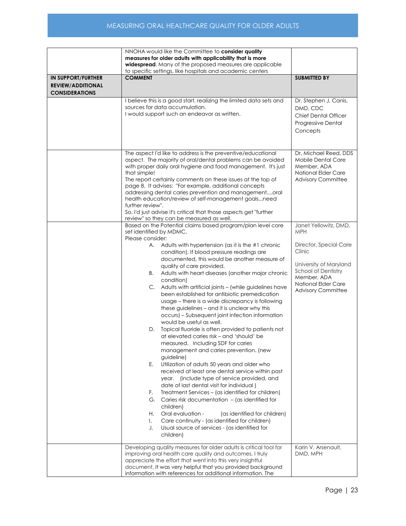| <b>IN SUPPORT/FURTHER</b><br><b>REVIEW/ADDITIONAL</b><br><b>CONSIDERATIONS</b> | NNOHA would like the Committee to consider quality<br>measures for older adults with applicability that is more<br>widespread. Many of the proposed measures are applicable<br>to specific settings, like hospitals and academic centers<br><b>COMMENT</b>                                                                                                                                                                                                                                                                                                                                                                                                                                                                                                                                                                                                                                                                                                                                                                                                                                                                                                                                                                                                                                                                                                                                                        | <b>SUBMITTED BY</b>                                                                                                                                                                         |
|--------------------------------------------------------------------------------|-------------------------------------------------------------------------------------------------------------------------------------------------------------------------------------------------------------------------------------------------------------------------------------------------------------------------------------------------------------------------------------------------------------------------------------------------------------------------------------------------------------------------------------------------------------------------------------------------------------------------------------------------------------------------------------------------------------------------------------------------------------------------------------------------------------------------------------------------------------------------------------------------------------------------------------------------------------------------------------------------------------------------------------------------------------------------------------------------------------------------------------------------------------------------------------------------------------------------------------------------------------------------------------------------------------------------------------------------------------------------------------------------------------------|---------------------------------------------------------------------------------------------------------------------------------------------------------------------------------------------|
|                                                                                | I believe this is a good start, realizing the limited data sets and<br>sources for data accumulation.<br>I would support such an endeavor as written.                                                                                                                                                                                                                                                                                                                                                                                                                                                                                                                                                                                                                                                                                                                                                                                                                                                                                                                                                                                                                                                                                                                                                                                                                                                             | Dr. Stephen J. Canis,<br>DMD, CDC<br><b>Chief Dental Officer</b><br>Progressive Dental<br>Concepts                                                                                          |
|                                                                                | The aspect I'd like to address is the preventive/educational<br>aspect. The majority of oral/dental problems can be avoided<br>with proper daily oral hygiene and food management. It's just<br>that simple!<br>The report certainly comments on these issues at the top of<br>page 8. It advises: "For example, additional concepts<br>addressing dental caries prevention and managementoral<br>health education/review of self-management goalsneed<br>further review".<br>So, I'd just advise it's critical that those aspects get "further<br>review" so they can be measured as well.                                                                                                                                                                                                                                                                                                                                                                                                                                                                                                                                                                                                                                                                                                                                                                                                                       | Dr. Michael Reed, DDS<br>Mobile Dental Care<br>Member, ADA<br>National Elder Care<br><b>Advisory Committee</b>                                                                              |
|                                                                                | Based on the Potential claims based program/plan level core<br>set identified by MDMC,<br>Please consider:<br>Adults with hypertension (as it is the #1 chronic<br>А.<br>condition). If blood pressure readings are<br>documented, this would be another measure of<br>quality of care provided.<br>В.<br>Adults with heart diseases (another major chronic<br>condition)<br>C. Adults with artificial joints - (while guidelines have<br>been established for antibiotic premedication<br>usage - there is a wide discrepancy is following<br>these guidelines - and it is unclear why this<br>occurs) - Subsequent joint infection information<br>would be useful as well.<br>Topical fluoride is often provided to patients not<br>D.<br>at elevated caries risk - and 'should' be<br>measured. Including SDF for caries<br>management and caries prevention. (new<br>guideline)<br>Е.<br>Utilization of adults 50 years and older who<br>received at least one dental service within past<br>year. (include type of service provided, and<br>date of last dental visit for individual)<br>Treatment Services - (as identified for children)<br>F.<br>Caries risk documentation - (as identified for<br>G.<br>children)<br>Oral evaluation -<br>Η.<br>(as identified for children)<br>Care continuity - (as identified for children)<br>Ι.<br>Usual source of services - (as identified for<br>J.<br>children) | Janet Yellowitz, DMD,<br><b>MPH</b><br>Director, Special Care<br>Clinic<br>University of Maryland<br>School of Dentistry<br>Member, ADA<br>National Elder Care<br><b>Advisory Committee</b> |
|                                                                                | Developing quality measures for older adults is critical tool for<br>improving oral health care quality and outcomes. I truly<br>appreciate the effort that went into this very insightful<br>document. It was very helpful that you provided background<br>information with references for additional information. The                                                                                                                                                                                                                                                                                                                                                                                                                                                                                                                                                                                                                                                                                                                                                                                                                                                                                                                                                                                                                                                                                           | Karin V. Arsenault,<br>DMD, MPH                                                                                                                                                             |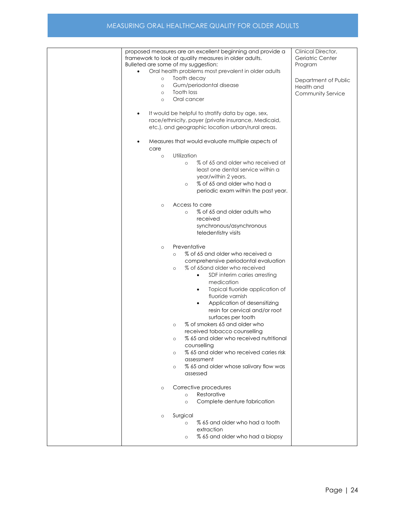| proposed measures are an excellent beginning and provide a<br>framework to look at quality measures in older adults.<br>Bulleted are some of my suggestion:<br>Oral health problems most prevalent in older adults<br>Tooth decay<br>$\circ$<br>Gum/periodontal disease<br>$\circ$<br>Tooth loss<br>$\circ$<br>Oral cancer<br>$\circ$                                                                                                                                                        | Clinical Director,<br>Geriatric Center<br>Program<br>Department of Public<br>Health and<br>Community Service |
|----------------------------------------------------------------------------------------------------------------------------------------------------------------------------------------------------------------------------------------------------------------------------------------------------------------------------------------------------------------------------------------------------------------------------------------------------------------------------------------------|--------------------------------------------------------------------------------------------------------------|
| It would be helpful to stratify data by age, sex,<br>٠<br>race/ethnicity, payer (private insurance, Medicaid,<br>etc.), and geographic location urban/rural areas.                                                                                                                                                                                                                                                                                                                           |                                                                                                              |
| Measures that would evaluate multiple aspects of<br>٠<br>care<br>Utilization<br>$\circ$<br>% of 65 and older who received at<br>$\circ$<br>least one dental service within a<br>year/within 2 years.<br>% of 65 and older who had a<br>$\circ$<br>periodic exam within the past year.                                                                                                                                                                                                        |                                                                                                              |
| Access to care<br>$\circ$<br>% of 65 and older adults who<br>$\circ$<br>received<br>synchronous/asynchronous<br>teledentistry visits                                                                                                                                                                                                                                                                                                                                                         |                                                                                                              |
| Preventative<br>$\circ$<br>% of 65 and older who received a<br>$\circ$<br>comprehensive periodontal evaluation<br>% of 65 and older who received<br>$\circ$<br>SDF interim caries arresting<br>$\bullet$<br>medication<br>Topical fluoride application of<br>fluoride varnish<br>Application of desensitizing<br>resin for cervical and/or root<br>surfaces per tooth<br>% of smokers 65 and older who<br>$\circ$<br>received tobacco counselling<br>% 65 and older who received nutritional |                                                                                                              |
| $\circ$<br>counselling<br>% 65 and older who received caries risk<br>$\circ$<br>assessment<br>% 65 and older whose salivary flow was<br>$\circ$<br>assessed                                                                                                                                                                                                                                                                                                                                  |                                                                                                              |
| Corrective procedures<br>$\circ$<br>Restorative<br>$\circ$<br>Complete denture fabrication<br>$\circ$                                                                                                                                                                                                                                                                                                                                                                                        |                                                                                                              |
| Surgical<br>$\circ$<br>% 65 and older who had a tooth<br>$\circ$<br>extraction<br>% 65 and older who had a biopsy<br>$\circ$                                                                                                                                                                                                                                                                                                                                                                 |                                                                                                              |